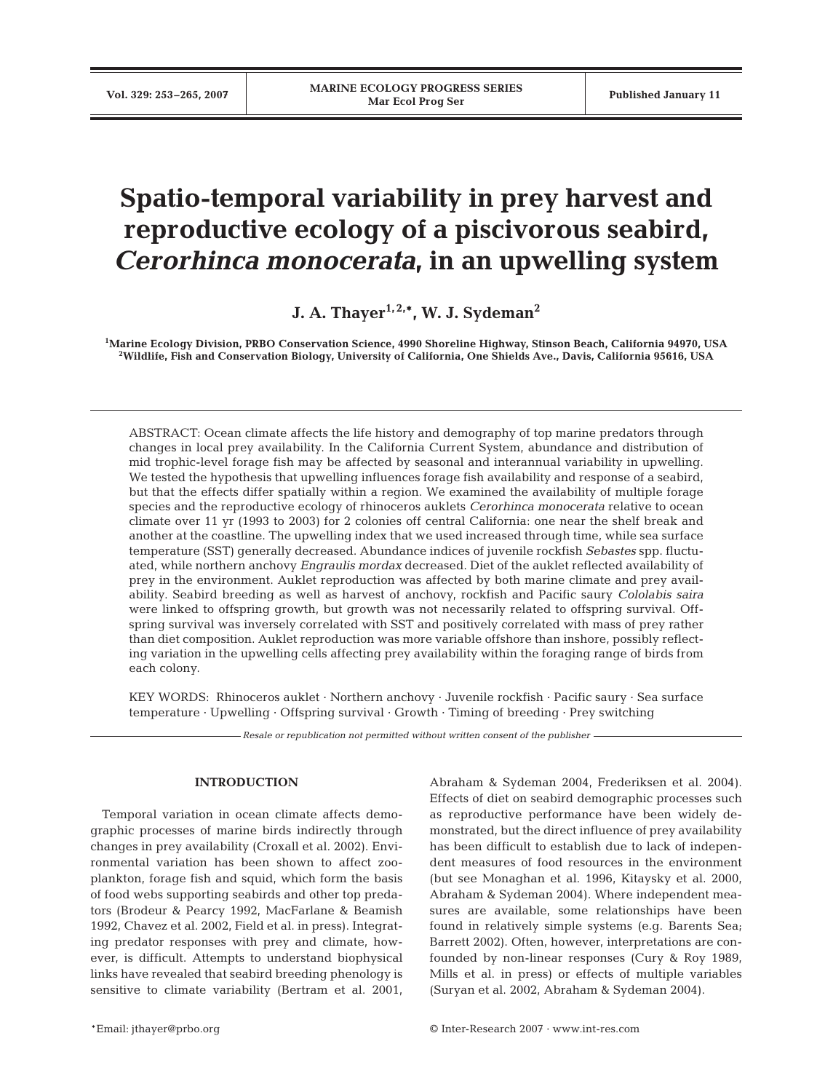# **Spatio-temporal variability in prey harvest and reproductive ecology of a piscivorous seabird,** *Cerorhinca monocerata***, in an upwelling system**

**J. A. Thayer<sup>1, 2,\*</sup>, W. J. Sydeman<sup>2</sup>** 

**1 Marine Ecology Division, PRBO Conservation Science, 4990 Shoreline Highway, Stinson Beach, California 94970, USA 2 Wildlife, Fish and Conservation Biology, University of California, One Shields Ave., Davis, California 95616, USA**

ABSTRACT: Ocean climate affects the life history and demography of top marine predators through changes in local prey availability. In the California Current System, abundance and distribution of mid trophic-level forage fish may be affected by seasonal and interannual variability in upwelling. We tested the hypothesis that upwelling influences forage fish availability and response of a seabird, but that the effects differ spatially within a region. We examined the availability of multiple forage species and the reproductive ecology of rhinoceros auklets *Cerorhinca monocerata* relative to ocean climate over 11 yr (1993 to 2003) for 2 colonies off central California: one near the shelf break and another at the coastline. The upwelling index that we used increased through time, while sea surface temperature (SST) generally decreased. Abundance indices of juvenile rockfish *Sebastes* spp. fluctuated, while northern anchovy *Engraulis mordax* decreased. Diet of the auklet reflected availability of prey in the environment. Auklet reproduction was affected by both marine climate and prey availability. Seabird breeding as well as harvest of anchovy, rockfish and Pacific saury *Cololabis saira* were linked to offspring growth, but growth was not necessarily related to offspring survival. Offspring survival was inversely correlated with SST and positively correlated with mass of prey rather than diet composition. Auklet reproduction was more variable offshore than inshore, possibly reflecting variation in the upwelling cells affecting prey availability within the foraging range of birds from each colony.

KEY WORDS: Rhinoceros auklet · Northern anchovy · Juvenile rockfish · Pacific saury · Sea surface temperature · Upwelling · Offspring survival · Growth · Timing of breeding · Prey switching

*Resale or republication not permitted without written consent of the publisher*

# **INTRODUCTION**

Temporal variation in ocean climate affects demographic processes of marine birds indirectly through changes in prey availability (Croxall et al. 2002). Environmental variation has been shown to affect zooplankton, forage fish and squid, which form the basis of food webs supporting seabirds and other top predators (Brodeur & Pearcy 1992, MacFarlane & Beamish 1992, Chavez et al. 2002, Field et al. in press). Integrating predator responses with prey and climate, however, is difficult. Attempts to understand biophysical links have revealed that seabird breeding phenology is sensitive to climate variability (Bertram et al. 2001, Abraham & Sydeman 2004, Frederiksen et al. 2004). Effects of diet on seabird demographic processes such as reproductive performance have been widely demonstrated, but the direct influence of prey availability has been difficult to establish due to lack of independent measures of food resources in the environment (but see Monaghan et al. 1996, Kitaysky et al. 2000, Abraham & Sydeman 2004). Where independent measures are available, some relationships have been found in relatively simple systems (e.g. Barents Sea; Barrett 2002). Often, however, interpretations are confounded by non-linear responses (Cury & Roy 1989, Mills et al. in press) or effects of multiple variables (Suryan et al. 2002, Abraham & Sydeman 2004).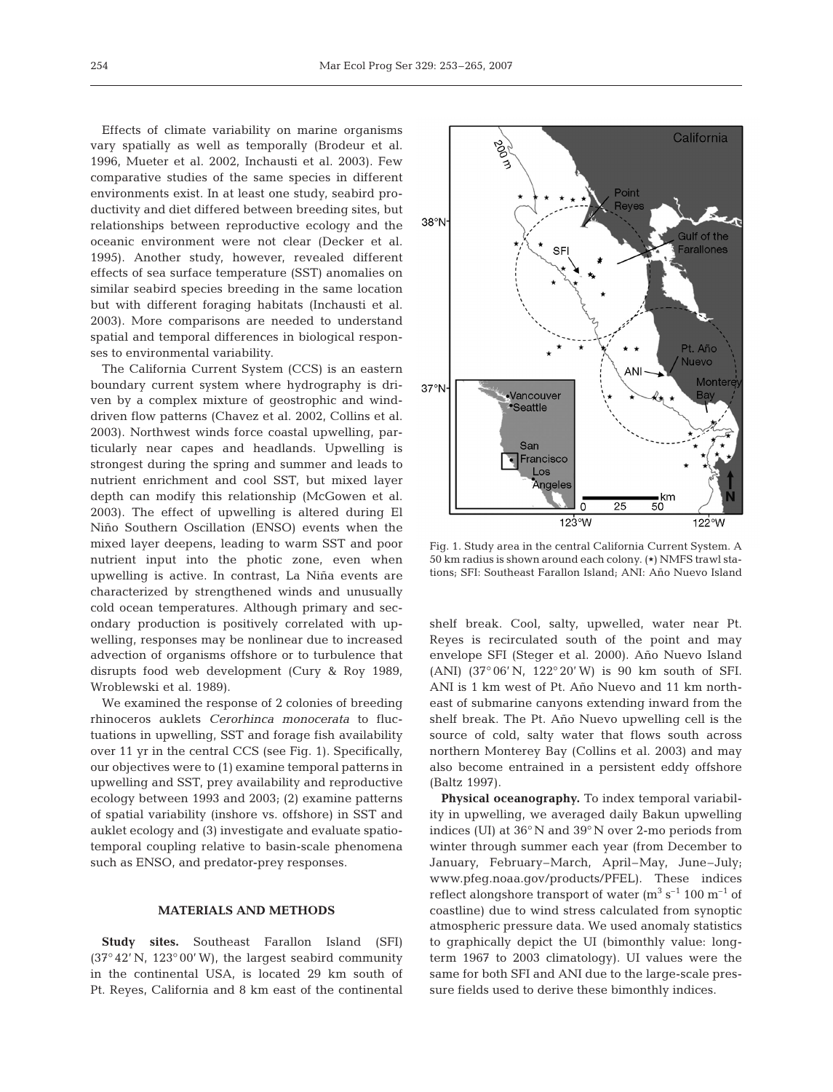Effects of climate variability on marine organisms vary spatially as well as temporally (Brodeur et al. 1996, Mueter et al. 2002, Inchausti et al. 2003). Few comparative studies of the same species in different environments exist. In at least one study, seabird productivity and diet differed between breeding sites, but relationships between reproductive ecology and the oceanic environment were not clear (Decker et al. 1995). Another study, however, revealed different effects of sea surface temperature (SST) anomalies on similar seabird species breeding in the same location but with different foraging habitats (Inchausti et al. 2003). More comparisons are needed to understand spatial and temporal differences in biological responses to environmental variability.

The California Current System (CCS) is an eastern boundary current system where hydrography is driven by a complex mixture of geostrophic and winddriven flow patterns (Chavez et al. 2002, Collins et al. 2003). Northwest winds force coastal upwelling, particularly near capes and headlands. Upwelling is strongest during the spring and summer and leads to nutrient enrichment and cool SST, but mixed layer depth can modify this relationship (McGowen et al. 2003). The effect of upwelling is altered during El Niño Southern Oscillation (ENSO) events when the mixed layer deepens, leading to warm SST and poor nutrient input into the photic zone, even when upwelling is active. In contrast, La Niña events are characterized by strengthened winds and unusually cold ocean temperatures. Although primary and secondary production is positively correlated with upwelling, responses may be nonlinear due to increased advection of organisms offshore or to turbulence that disrupts food web development (Cury & Roy 1989, Wroblewski et al. 1989).

We examined the response of 2 colonies of breeding rhinoceros auklets *Cerorhinca monocerata* to fluctuations in upwelling, SST and forage fish availability over 11 yr in the central CCS (see Fig. 1). Specifically, our objectives were to (1) examine temporal patterns in upwelling and SST, prey availability and reproductive ecology between 1993 and 2003; (2) examine patterns of spatial variability (inshore vs. offshore) in SST and auklet ecology and (3) investigate and evaluate spatiotemporal coupling relative to basin-scale phenomena such as ENSO, and predator-prey responses.

# **MATERIALS AND METHODS**

**Study sites.** Southeast Farallon Island (SFI) (37° 42' N, 123° 00' W), the largest seabird community in the continental USA, is located 29 km south of Pt. Reyes, California and 8 km east of the continental



Fig. 1. Study area in the central California Current System. A 50 km radius is shown around each colony.  $(\star)$  NMFS trawl stations; SFI: Southeast Farallon Island; ANI: Año Nuevo Island

shelf break. Cool, salty, upwelled, water near Pt. Reyes is recirculated south of the point and may envelope SFI (Steger et al. 2000). Año Nuevo Island (ANI) (37° 06' N, 122° 20' W) is 90 km south of SFI. ANI is 1 km west of Pt. Año Nuevo and 11 km northeast of submarine canyons extending inward from the shelf break. The Pt. Año Nuevo upwelling cell is the source of cold, salty water that flows south across northern Monterey Bay (Collins et al. 2003) and may also become entrained in a persistent eddy offshore (Baltz 1997).

**Physical oceanography.** To index temporal variability in upwelling, we averaged daily Bakun upwelling indices (UI) at 36° N and 39° N over 2-mo periods from winter through summer each year (from December to January, February–March, April–May, June–July; www.pfeg.noaa.gov/products/PFEL). These indices reflect alongshore transport of water  $(m^3 s^{-1} 100 m^{-1} o f)$ coastline) due to wind stress calculated from synoptic atmospheric pressure data. We used anomaly statistics to graphically depict the UI (bimonthly value: longterm 1967 to 2003 climatology). UI values were the same for both SFI and ANI due to the large-scale pressure fields used to derive these bimonthly indices.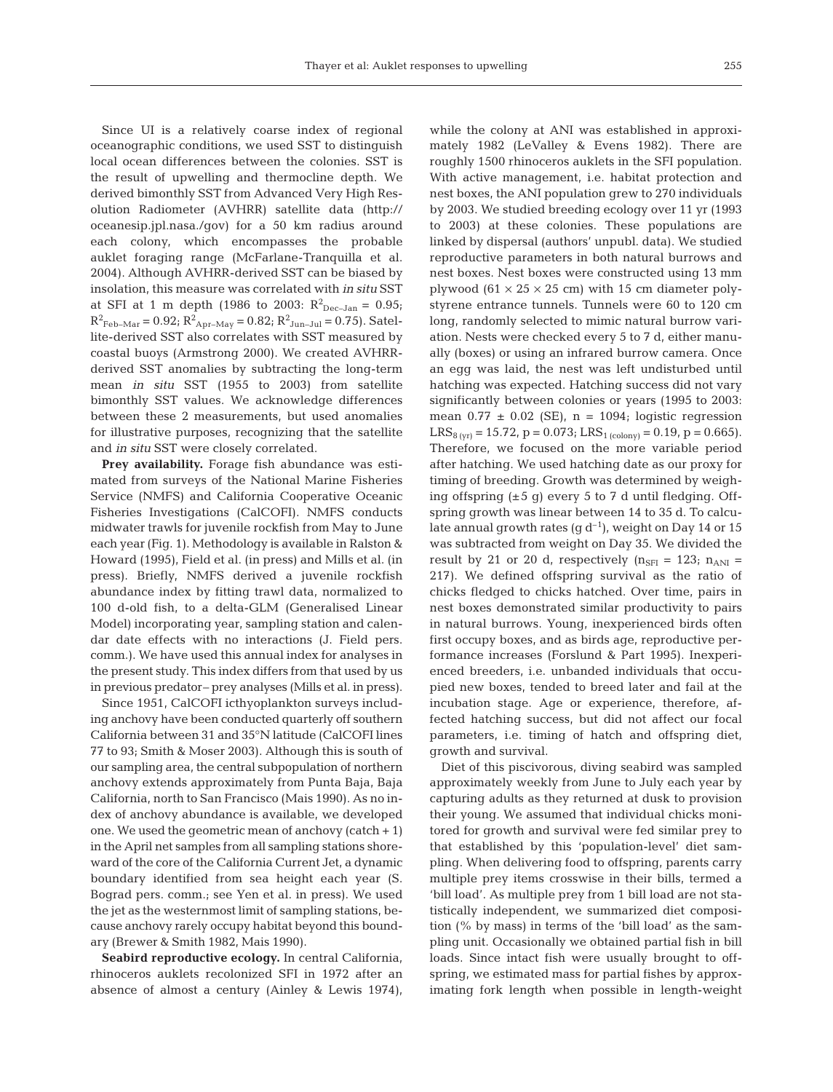Since UI is a relatively coarse index of regional oceanographic conditions, we used SST to distinguish local ocean differences between the colonies. SST is the result of upwelling and thermocline depth. We derived bimonthly SST from Advanced Very High Resolution Radiometer (AVHRR) satellite data (http:// oceanesip.jpl.nasa./gov) for a 50 km radius around each colony, which encompasses the probable auklet foraging range (McFarlane-Tranquilla et al. 2004). Although AVHRR-derived SST can be biased by insolation, this measure was correlated with *in situ* SST at SFI at 1 m depth (1986 to 2003:  $R^2_{\text{Dec-Jan}} = 0.95$ ;  $R^2_{\text{Feb-Mar}} = 0.92$ ;  $R^2_{\text{Apr-May}} = 0.82$ ;  $R^2_{\text{Jun-Jul}} = 0.75$ ). Satellite-derived SST also correlates with SST measured by coastal buoys (Armstrong 2000). We created AVHRRderived SST anomalies by subtracting the long-term mean *in situ* SST (1955 to 2003) from satellite bimonthly SST values. We acknowledge differences between these 2 measurements, but used anomalies for illustrative purposes, recognizing that the satellite and *in situ* SST were closely correlated.

Prey availability. Forage fish abundance was estimated from surveys of the National Marine Fisheries Service (NMFS) and California Cooperative Oceanic Fisheries Investigations (CalCOFI). NMFS conducts midwater trawls for juvenile rockfish from May to June each year (Fig. 1). Methodology is available in Ralston & Howard (1995), Field et al. (in press) and Mills et al. (in press). Briefly, NMFS derived a juvenile rockfish abundance index by fitting trawl data, normalized to 100 d-old fish, to a delta-GLM (Generalised Linear Model) incorporating year, sampling station and calendar date effects with no interactions (J. Field pers. comm.). We have used this annual index for analyses in the present study. This index differs from that used by us in previous predator– prey analyses (Mills et al. in press).

Since 1951, CalCOFI icthyoplankton surveys including anchovy have been conducted quarterly off southern California between 31 and 35°N latitude (CalCOFI lines 77 to 93; Smith & Moser 2003). Although this is south of our sampling area, the central subpopulation of northern anchovy extends approximately from Punta Baja, Baja California, north to San Francisco (Mais 1990). As no index of anchovy abundance is available, we developed one. We used the geometric mean of anchovy  $(catch + 1)$ in the April net samples from all sampling stations shoreward of the core of the California Current Jet, a dynamic boundary identified from sea height each year (S. Bograd pers. comm.; see Yen et al. in press). We used the jet as the westernmost limit of sampling stations, because anchovy rarely occupy habitat beyond this boundary (Brewer & Smith 1982, Mais 1990).

**Seabird reproductive ecology.** In central California, rhinoceros auklets recolonized SFI in 1972 after an absence of almost a century (Ainley & Lewis 1974),

while the colony at ANI was established in approximately 1982 (LeValley & Evens 1982). There are roughly 1500 rhinoceros auklets in the SFI population. With active management, i.e. habitat protection and nest boxes, the ANI population grew to 270 individuals by 2003. We studied breeding ecology over 11 yr (1993 to 2003) at these colonies. These populations are linked by dispersal (authors' unpubl. data). We studied reproductive parameters in both natural burrows and nest boxes. Nest boxes were constructed using 13 mm plywood  $(61 \times 25 \times 25$  cm) with 15 cm diameter polystyrene entrance tunnels. Tunnels were 60 to 120 cm long, randomly selected to mimic natural burrow variation. Nests were checked every 5 to 7 d, either manually (boxes) or using an infrared burrow camera. Once an egg was laid, the nest was left undisturbed until hatching was expected. Hatching success did not vary significantly between colonies or years (1995 to 2003: mean  $0.77 \pm 0.02$  (SE), n = 1094; logistic regression  $LRS_{8 (yr)} = 15.72, p = 0.073; LRS_{1 (colony)} = 0.19, p = 0.665).$ Therefore, we focused on the more variable period after hatching. We used hatching date as our proxy for timing of breeding. Growth was determined by weighing offspring  $(\pm 5 \text{ g})$  every 5 to 7 d until fledging. Offspring growth was linear between 14 to 35 d. To calculate annual growth rates (g  $d^{-1}$ ), weight on Day 14 or 15 was subtracted from weight on Day 35. We divided the result by 21 or 20 d, respectively  $(n_{\text{SFI}} = 123; n_{\text{ANI}} =$ 217). We defined offspring survival as the ratio of chicks fledged to chicks hatched. Over time, pairs in nest boxes demonstrated similar productivity to pairs in natural burrows. Young, inexperienced birds often first occupy boxes, and as birds age, reproductive performance increases (Forslund & Part 1995). Inexperienced breeders, i.e. unbanded individuals that occupied new boxes, tended to breed later and fail at the incubation stage. Age or experience, therefore, affected hatching success, but did not affect our focal parameters, i.e. timing of hatch and offspring diet, growth and survival.

Diet of this piscivorous, diving seabird was sampled approximately weekly from June to July each year by capturing adults as they returned at dusk to provision their young. We assumed that individual chicks monitored for growth and survival were fed similar prey to that established by this 'population-level' diet sampling. When delivering food to offspring, parents carry multiple prey items crosswise in their bills, termed a 'bill load'. As multiple prey from 1 bill load are not statistically independent, we summarized diet composition (% by mass) in terms of the 'bill load' as the sampling unit. Occasionally we obtained partial fish in bill loads. Since intact fish were usually brought to offspring, we estimated mass for partial fishes by approximating fork length when possible in length-weight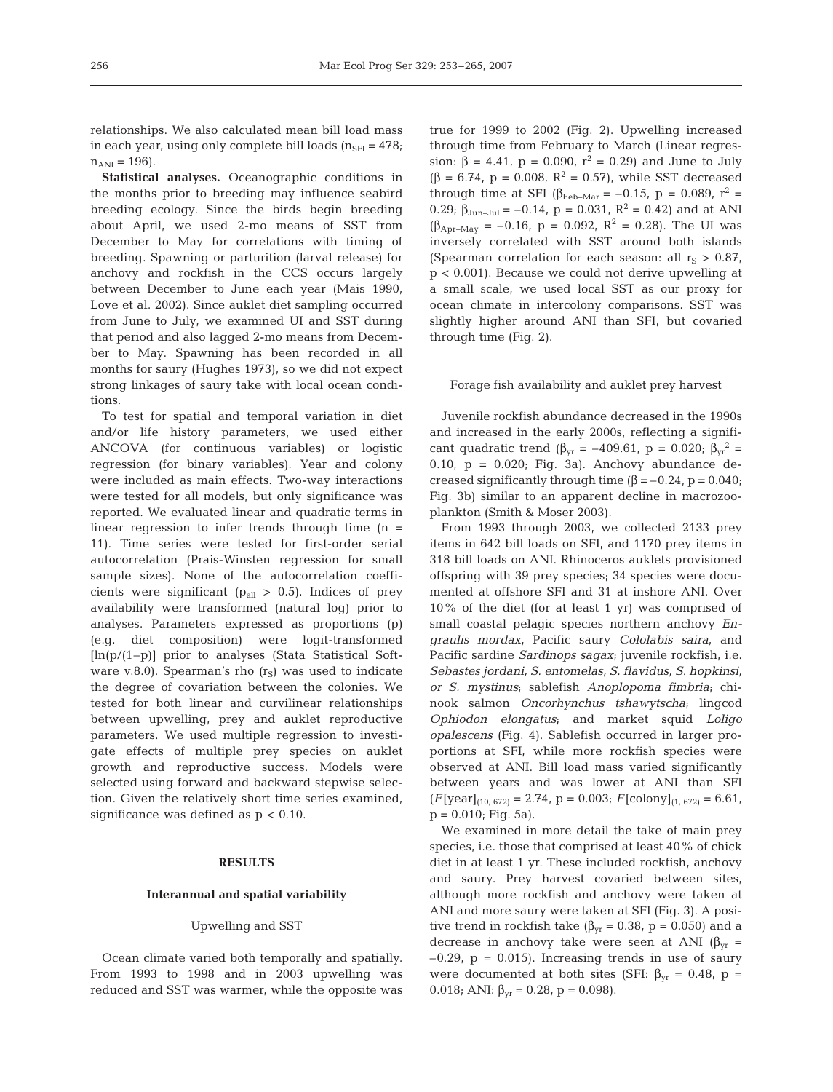relationships. We also calculated mean bill load mass in each year, using only complete bill loads  $(n_{\text{SFR}} = 478;$  $n_{\text{ANI}} = 196$ .

**Statistical analyses.** Oceanographic conditions in the months prior to breeding may influence seabird breeding ecology. Since the birds begin breeding about April, we used 2-mo means of SST from December to May for correlations with timing of breeding. Spawning or parturition (larval release) for anchovy and rockfish in the CCS occurs largely between December to June each year (Mais 1990, Love et al. 2002). Since auklet diet sampling occurred from June to July, we examined UI and SST during that period and also lagged 2-mo means from December to May. Spawning has been recorded in all months for saury (Hughes 1973), so we did not expect strong linkages of saury take with local ocean conditions.

To test for spatial and temporal variation in diet and/or life history parameters, we used either ANCOVA (for continuous variables) or logistic regression (for binary variables). Year and colony were included as main effects. Two-way interactions were tested for all models, but only significance was reported. We evaluated linear and quadratic terms in linear regression to infer trends through time  $(n =$ 11). Time series were tested for first-order serial autocorrelation (Prais-Winsten regression for small sample sizes). None of the autocorrelation coefficients were significant ( $p_{all} > 0.5$ ). Indices of prey availability were transformed (natural log) prior to analyses. Parameters expressed as proportions (p) (e.g. diet composition) were logit-transformed  $[\ln(p/(1-p))]$  prior to analyses (Stata Statistical Software v.8.0). Spearman's rho  $(r<sub>S</sub>)$  was used to indicate the degree of covariation between the colonies. We tested for both linear and curvilinear relationships between upwelling, prey and auklet reproductive parameters. We used multiple regression to investigate effects of multiple prey species on auklet growth and reproductive success. Models were selected using forward and backward stepwise selection. Given the relatively short time series examined, significance was defined as  $p < 0.10$ .

#### **RESULTS**

#### **Interannual and spatial variability**

#### Upwelling and SST

Ocean climate varied both temporally and spatially. From 1993 to 1998 and in 2003 upwelling was reduced and SST was warmer, while the opposite was true for 1999 to 2002 (Fig. 2). Upwelling increased through time from February to March (Linear regression:  $\beta = 4.41$ ,  $p = 0.090$ ,  $r^2 = 0.29$ ) and June to July  $(\beta = 6.74, p = 0.008, R^2 = 0.57)$ , while SST decreased through time at SFI ( $\beta_{\text{Feb-Mar}} = -0.15$ ,  $p = 0.089$ ,  $r^2 =$ 0.29;  $\beta_{\text{Jun-Inl}} = -0.14$ , p = 0.031, R<sup>2</sup> = 0.42) and at ANI  $(\beta_{\text{Apr-May}} = -0.16, p = 0.092, R^2 = 0.28)$ . The UI was inversely correlated with SST around both islands (Spearman correlation for each season: all  $r_S > 0.87$ , p < 0.001). Because we could not derive upwelling at a small scale, we used local SST as our proxy for ocean climate in intercolony comparisons. SST was slightly higher around ANI than SFI, but covaried through time (Fig. 2).

### Forage fish availability and auklet prey harvest

Juvenile rockfish abundance decreased in the 1990s and increased in the early 2000s, reflecting a significant quadratic trend ( $\beta_{vr} = -409.61$ , p = 0.020;  $\beta_{vr}^2$  = 0.10,  $p = 0.020$ ; Fig. 3a). Anchovy abundance decreased significantly through time  $(\beta = -0.24, p = 0.040;$ Fig. 3b) similar to an apparent decline in macrozooplankton (Smith & Moser 2003).

From 1993 through 2003, we collected 2133 prey items in 642 bill loads on SFI, and 1170 prey items in 318 bill loads on ANI. Rhinoceros auklets provisioned offspring with 39 prey species; 34 species were documented at offshore SFI and 31 at inshore ANI. Over 10% of the diet (for at least 1 yr) was comprised of small coastal pelagic species northern anchovy *Engraulis mordax*, Pacific saury *Cololabis saira*, and Pacific sardine *Sardinops sagax*; juvenile rockfish, i.e. *Sebastes jordani, S. entomelas, S. flavidus, S. hopkinsi, or S. mystinus*; sablefish *Anoplopoma fimbria*; chinook salmon *Oncorhynchus tshawytscha*; lingcod *Ophiodon elongatus*; and market squid *Loligo opalescens* (Fig. 4). Sablefish occurred in larger proportions at SFI, while more rockfish species were observed at ANI. Bill load mass varied significantly between years and was lower at ANI than SFI  $(F[\text{year}]_{(10, 672)} = 2.74$ ,  $p = 0.003$ ;  $F[\text{colony}]_{(1, 672)} = 6.61$ ,  $p = 0.010$ ; Fig. 5a).

We examined in more detail the take of main prey species, i.e. those that comprised at least 40% of chick diet in at least 1 yr. These included rockfish, anchovy and saury. Prey harvest covaried between sites, although more rockfish and anchovy were taken at ANI and more saury were taken at SFI (Fig. 3). A positive trend in rockfish take ( $\beta_{vr}$  = 0.38, p = 0.050) and a decrease in anchovy take were seen at ANI ( $\beta_{vr}$  =  $-0.29$ ,  $p = 0.015$ ). Increasing trends in use of saury were documented at both sites (SFI:  $\beta_{yr} = 0.48$ , p = 0.018; ANI:  $\beta_{vr} = 0.28$ , p = 0.098).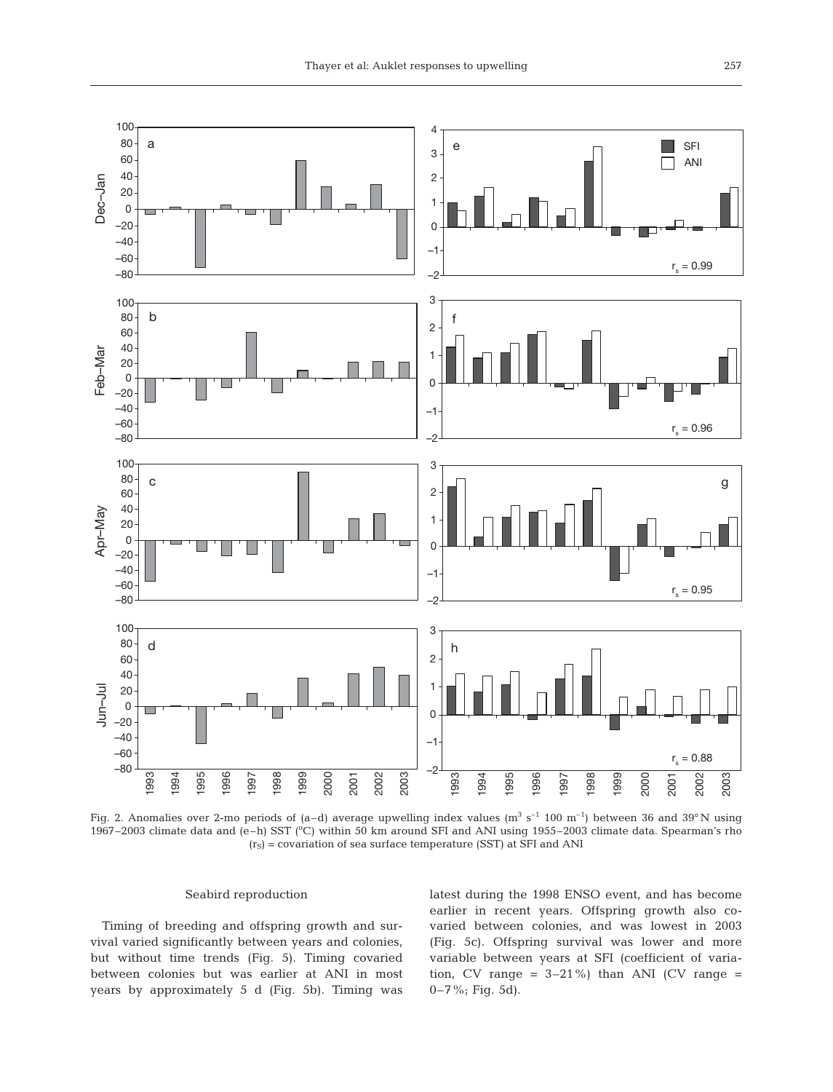

Fig. 2. Anomalies over 2-mo periods of (a–d) average upwelling index values ( $m^3 s^{-1}$  100  $m^{-1}$ ) between 36 and 39°N using 1967–2003 climate data and (e-h) SST (°C) within 50 km around SFI and ANI using 1955–2003 climate data. Spearman's rho  $(r<sub>S</sub>)$  = covariation of sea surface temperature (SST) at SFI and ANI

### Seabird reproduction

Timing of breeding and offspring growth and survival varied significantly between years and colonies, but without time trends (Fig. 5). Timing covaried between colonies but was earlier at ANI in most years by approximately 5 d (Fig. 5b). Timing was

latest during the 1998 ENSO event, and has become earlier in recent years. Offspring growth also covaried between colonies, and was lowest in 2003 (Fig. 5c). Offspring survival was lower and more variable between years at SFI (coefficient of variation, CV range =  $3-21\%$ ) than ANI (CV range = 0–7%; Fig. 5d).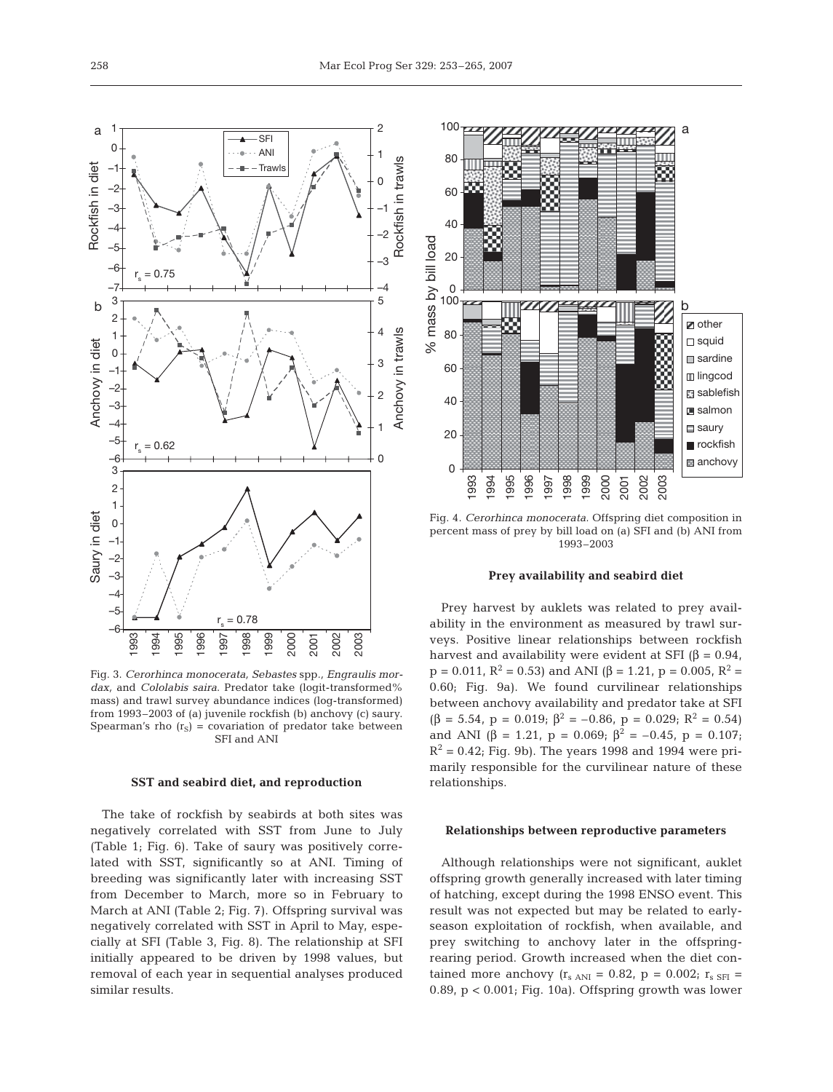0

 $100 -$ 

0

1993 1994 1995 1996 1997 1998 1999 2000 2001 2002 2003

20

40

60

80

% mass by bill load.

% mass by bill load

20

40

60

80

100

Fig. 3. *Cerorhinca monocerata, Sebastes* spp*., Engraulis mordax,* and *Cololabis saira*. Predator take (logit-transformed% mass) and trawl survey abundance indices (log-transformed) from 1993–2003 of (a) juvenile rockfish (b) anchovy (c) saury. Spearman's rho  $(r<sub>S</sub>)$  = covariation of predator take between SFI and ANI

#### **SST and seabird diet, and reproduction**

The take of rockfish by seabirds at both sites was negatively correlated with SST from June to July (Table 1; Fig. 6). Take of saury was positively correlated with SST, significantly so at ANI. Timing of breeding was significantly later with increasing SST from December to March, more so in February to March at ANI (Table 2; Fig. 7). Offspring survival was negatively correlated with SST in April to May, especially at SFI (Table 3, Fig. 8). The relationship at SFI initially appeared to be driven by 1998 values, but removal of each year in sequential analyses produced similar results.



**z** other □ squid **□** sardine **III** lingcod sablefish **■** salmon saury rockfish anchovy

b

a

#### **Prey availability and seabird diet**

Prey harvest by auklets was related to prey availability in the environment as measured by trawl surveys. Positive linear relationships between rockfish harvest and availability were evident at SFI  $(\beta = 0.94,$  $p = 0.011$ ,  $R^2 = 0.53$ ) and ANI (β = 1.21, p = 0.005,  $R^2 =$ 0.60; Fig. 9a). We found curvilinear relationships between anchovy availability and predator take at SFI  $(\beta = 5.54, p = 0.019; \beta^2 = -0.86, p = 0.029; R^2 = 0.54)$ and ANI ( $\beta$  = 1.21, p = 0.069;  $\beta$ <sup>2</sup> = -0.45, p = 0.107;  $R^2 = 0.42$ ; Fig. 9b). The years 1998 and 1994 were primarily responsible for the curvilinear nature of these relationships.

#### **Relationships between reproductive parameters**

Although relationships were not significant, auklet offspring growth generally increased with later timing of hatching, except during the 1998 ENSO event. This result was not expected but may be related to earlyseason exploitation of rockfish, when available, and prey switching to anchovy later in the offspringrearing period. Growth increased when the diet contained more anchovy  $(r<sub>s</sub>_{ANI} = 0.82, p = 0.002; r<sub>s</sub>_{SFI} =$ 0.89,  $p < 0.001$ ; Fig. 10a). Offspring growth was lower

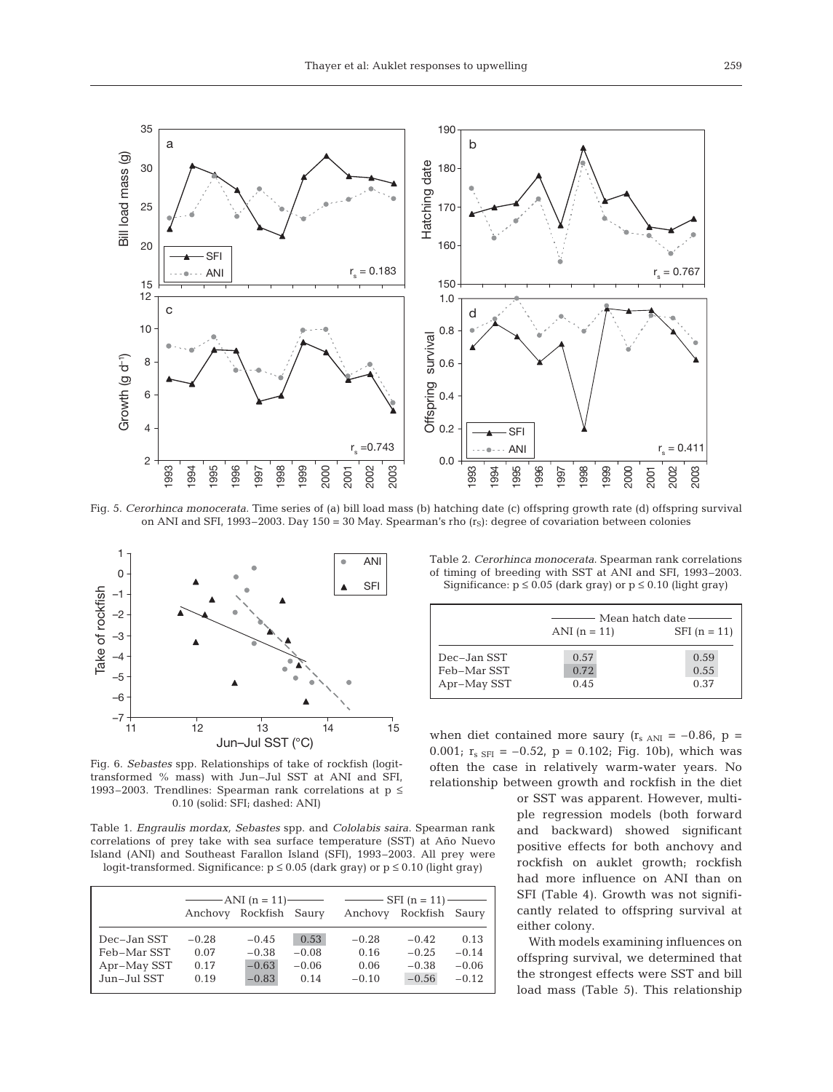

Fig. 5. *Cerorhinca monocerata.* Time series of (a) bill load mass (b) hatching date (c) offspring growth rate (d) offspring survival on ANI and SFI, 1993–2003. Day 150 = 30 May. Spearman's rho  $(r<sub>S</sub>)$ : degree of covariation between colonies



Fig. 6. *Sebastes* spp. Relationships of take of rockfish (logittransformed % mass) with Jun–Jul SST at ANI and SFI, 1993–2003. Trendlines: Spearman rank correlations at p ≤ 0.10 (solid: SFI; dashed: ANI)

Table 1. *Engraulis mordax, Sebastes* spp. and *Cololabis saira*. Spearman rank correlations of prey take with sea surface temperature (SST) at Año Nuevo Island (ANI) and Southeast Farallon Island (SFI), 1993–2003. All prey were logit-transformed. Significance:  $p \le 0.05$  (dark gray) or  $p \le 0.10$  (light gray)

|             |         | $-MNI (n = 11)$        |         | $SFI(n = 11)$ — |                |         |  |
|-------------|---------|------------------------|---------|-----------------|----------------|---------|--|
|             |         | Anchovy Rockfish Saury |         | Anchovy         | Rockfish Saury |         |  |
| Dec-Jan SST | $-0.28$ | $-0.45$                | 0.53    | $-0.28$         | $-0.42$        | 0.13    |  |
| Feb-Mar SST | 0.07    | $-0.38$                | $-0.08$ | 0.16            | $-0.25$        | $-0.14$ |  |
| Apr-May SST | 0.17    | $-0.63$                | $-0.06$ | 0.06            | $-0.38$        | $-0.06$ |  |
| Jun-Jul SST | 0.19    | $-0.83$                | 0.14    | $-0.10$         | $-0.56$        | $-0.12$ |  |

Table 2. *Cerorhinca monocerata*. Spearman rank correlations of timing of breeding with SST at ANI and SFI, 1993–2003. Significance:  $p \le 0.05$  (dark gray) or  $p \le 0.10$  (light gray)

|                                           | Mean hatch date-     |                      |  |  |  |
|-------------------------------------------|----------------------|----------------------|--|--|--|
|                                           | ANI $(n = 11)$       | $SFI (n = 11)$       |  |  |  |
| Dec-Jan SST<br>Feb-Mar SST<br>Apr-May SST | 0.57<br>0.72<br>0.45 | 0.59<br>0.55<br>0.37 |  |  |  |

when diet contained more saury ( $r_{s \text{ ANI}} = -0.86$ , p = 0.001;  $r_{s SFI} = -0.52$ ,  $p = 0.102$ ; Fig. 10b), which was often the case in relatively warm-water years. No relationship between growth and rockfish in the diet

> or SST was apparent. However, multiple regression models (both forward and backward) showed significant positive effects for both anchovy and rockfish on auklet growth; rockfish had more influence on ANI than on SFI (Table 4). Growth was not significantly related to offspring survival at either colony.

> With models examining influences on offspring survival, we determined that the strongest effects were SST and bill load mass (Table 5). This relationship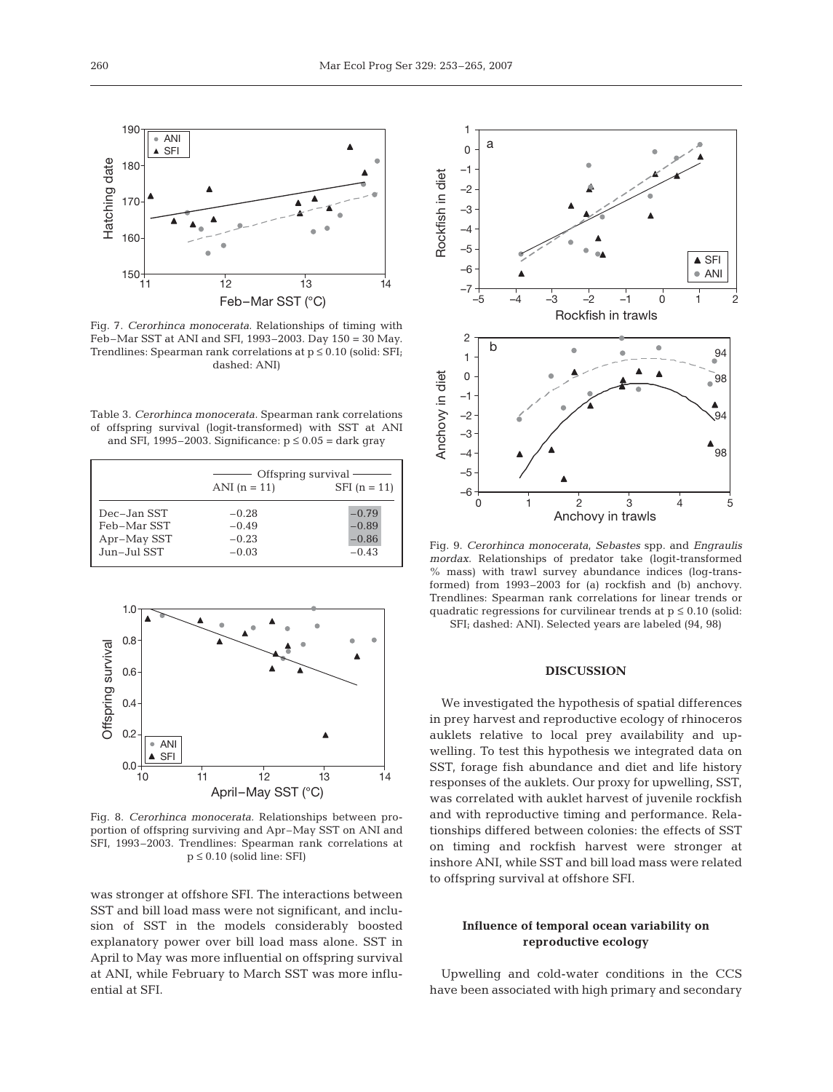

Fig. 7. *Cerorhinca monocerata*. Relationships of timing with Feb–Mar SST at ANI and SFI, 1993–2003. Day 150 = 30 May. Trendlines: Spearman rank correlations at  $p \le 0.10$  (solid: SFI; dashed: ANI)

Table 3. *Cerorhinca monocerata.* Spearman rank correlations of offspring survival (logit-transformed) with SST at ANI and SFI, 1995–2003. Significance:  $p \le 0.05 =$  dark gray

|             |                | Offspring survival- |
|-------------|----------------|---------------------|
|             | ANI $(n = 11)$ | $SFI (n = 11)$      |
| Dec-Jan SST | $-0.28$        | $-0.79$             |
| Feb-Mar SST | $-0.49$        | $-0.89$             |
| Apr-May SST | $-0.23$        | $-0.86$             |
| Jun-Jul SST | $-0.03$        | $-0.43$             |



Fig. 8. *Cerorhinca monocerata.* Relationships between proportion of offspring surviving and Apr–May SST on ANI and SFI, 1993–2003. Trendlines: Spearman rank correlations at  $p \leq 0.10$  (solid line: SFI)

was stronger at offshore SFI. The interactions between SST and bill load mass were not significant, and inclusion of SST in the models considerably boosted explanatory power over bill load mass alone. SST in April to May was more influential on offspring survival at ANI, while February to March SST was more influential at SFI.



Fig. 9. *Cerorhinca monocerata*, *Sebastes* spp. and *Engraulis mordax*. Relationships of predator take (logit-transformed % mass) with trawl survey abundance indices (log-transformed) from 1993–2003 for (a) rockfish and (b) anchovy. Trendlines: Spearman rank correlations for linear trends or quadratic regressions for curvilinear trends at  $p \leq 0.10$  (solid: SFI; dashed: ANI). Selected years are labeled (94, 98)

# **DISCUSSION**

We investigated the hypothesis of spatial differences in prey harvest and reproductive ecology of rhinoceros auklets relative to local prey availability and upwelling. To test this hypothesis we integrated data on SST, forage fish abundance and diet and life history responses of the auklets. Our proxy for upwelling, SST, was correlated with auklet harvest of juvenile rockfish and with reproductive timing and performance. Relationships differed between colonies: the effects of SST on timing and rockfish harvest were stronger at inshore ANI, while SST and bill load mass were related to offspring survival at offshore SFI.

# **Influence of temporal ocean variability on reproductive ecology**

Upwelling and cold-water conditions in the CCS have been associated with high primary and secondary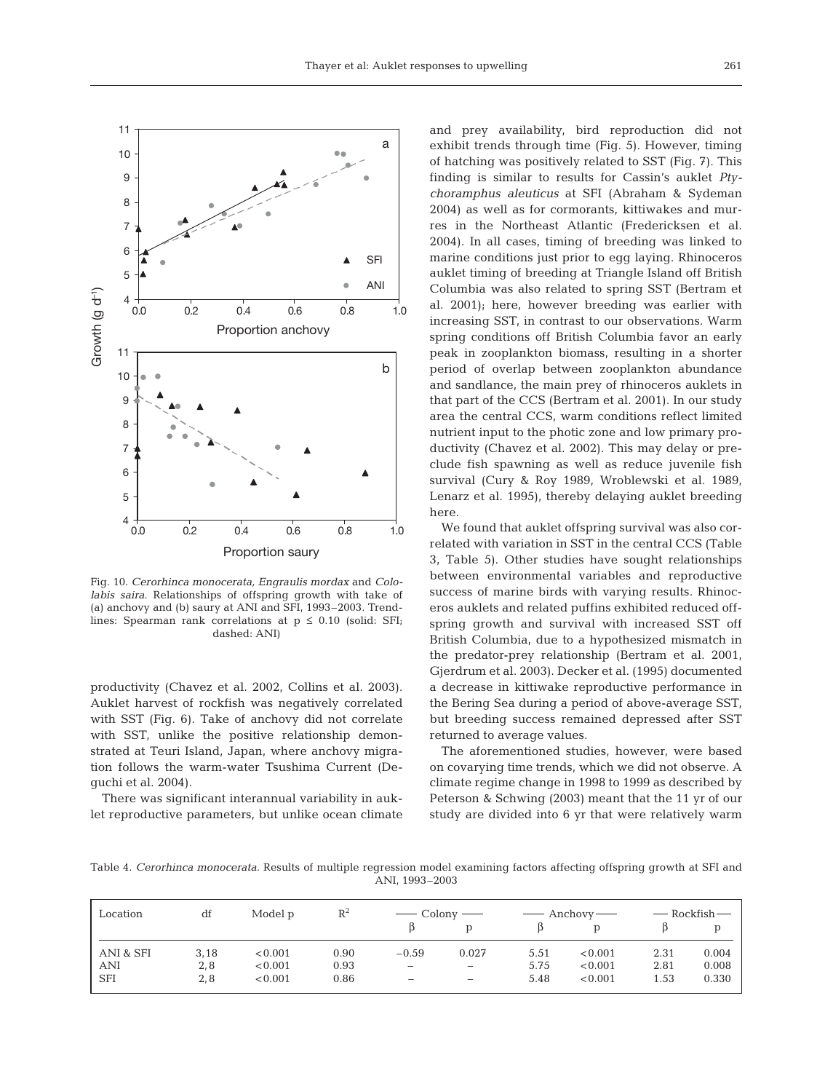

Fig. 10. *Cerorhinca monocerata, Engraulis mordax* and *Cololabis saira*. Relationships of offspring growth with take of (a) anchovy and (b) saury at ANI and SFI, 1993–2003. Trendlines: Spearman rank correlations at  $p \le 0.10$  (solid: SFI; dashed: ANI)

productivity (Chavez et al. 2002, Collins et al. 2003). Auklet harvest of rockfish was negatively correlated with SST (Fig. 6). Take of anchovy did not correlate with SST, unlike the positive relationship demonstrated at Teuri Island, Japan, where anchovy migration follows the warm-water Tsushima Current (Deguchi et al. 2004).

There was significant interannual variability in auklet reproductive parameters, but unlike ocean climate

and prey availability, bird reproduction did not exhibit trends through time (Fig. 5). However, timing of hatching was positively related to SST (Fig. 7). This finding is similar to results for Cassin's auklet *Ptychoramphus aleuticus* at SFI (Abraham & Sydeman 2004) as well as for cormorants, kittiwakes and murres in the Northeast Atlantic (Fredericksen et al. 2004). In all cases, timing of breeding was linked to marine conditions just prior to egg laying. Rhinoceros auklet timing of breeding at Triangle Island off British Columbia was also related to spring SST (Bertram et al. 2001); here, however breeding was earlier with increasing SST, in contrast to our observations. Warm spring conditions off British Columbia favor an early peak in zooplankton biomass, resulting in a shorter period of overlap between zooplankton abundance and sandlance, the main prey of rhinoceros auklets in that part of the CCS (Bertram et al. 2001). In our study area the central CCS, warm conditions reflect limited nutrient input to the photic zone and low primary productivity (Chavez et al. 2002). This may delay or preclude fish spawning as well as reduce juvenile fish survival (Cury & Roy 1989, Wroblewski et al. 1989, Lenarz et al. 1995), thereby delaying auklet breeding here.

We found that auklet offspring survival was also correlated with variation in SST in the central CCS (Table 3, Table 5). Other studies have sought relationships between environmental variables and reproductive success of marine birds with varying results*.* Rhinoceros auklets and related puffins exhibited reduced offspring growth and survival with increased SST off British Columbia, due to a hypothesized mismatch in the predator-prey relationship (Bertram et al. 2001, Gjerdrum et al. 2003). Decker et al. (1995) documented a decrease in kittiwake reproductive performance in the Bering Sea during a period of above-average SST, but breeding success remained depressed after SST returned to average values.

The aforementioned studies, however, were based on covarying time trends, which we did not observe. A climate regime change in 1998 to 1999 as described by Peterson & Schwing (2003) meant that the 11 yr of our study are divided into 6 yr that were relatively warm

Table 4. *Cerorhinca monocerata.* Results of multiple regression model examining factors affecting offspring growth at SFI and ANI, 1993–2003

| Location   | df   | Model p | $R^2$ | — Colony —               |                          |      | $\longrightarrow$ Anchovy $\longrightarrow$ | — Rockfish— |       |
|------------|------|---------|-------|--------------------------|--------------------------|------|---------------------------------------------|-------------|-------|
|            |      |         |       |                          |                          |      |                                             |             |       |
| ANI & SFI  | 3,18 | < 0.001 | 0.90  | $-0.59$                  | 0.027                    | 5.51 | < 0.001                                     | 2.31        | 0.004 |
| <b>ANI</b> | 2,8  | < 0.001 | 0.93  | $\overline{\phantom{m}}$ |                          | 5.75 | < 0.001                                     | 2.81        | 0.008 |
| <b>SFI</b> | 2,8  | < 0.001 | 0.86  | $\overline{\phantom{a}}$ | $\overline{\phantom{a}}$ | 5.48 | < 0.001                                     | 1.53        | 0.330 |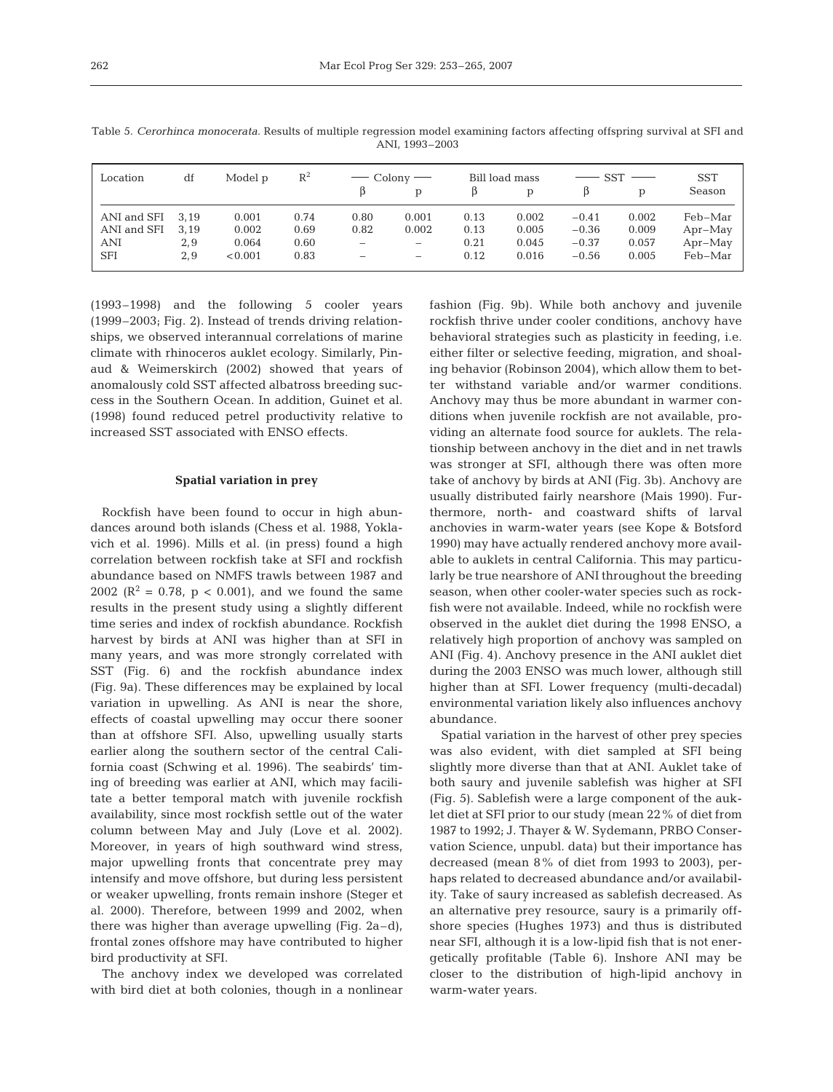| Table 5. Cerorhinca monocerata. Results of multiple regression model examining factors affecting offspring survival at SFI and |  |
|--------------------------------------------------------------------------------------------------------------------------------|--|
| ANI. 1993-2003                                                                                                                 |  |
|                                                                                                                                |  |

| Location         | df   | Model p | $\mathbb{R}^2$ |      | $\overline{\phantom{0}}$ Colony $\overline{\phantom{0}}$ |      | Bill load mass |         | <b>SST</b> | <b>SST</b> |
|------------------|------|---------|----------------|------|----------------------------------------------------------|------|----------------|---------|------------|------------|
|                  |      |         |                |      | D                                                        |      | D              |         | D          | Season     |
| ANI and SFI 3,19 |      | 0.001   | 0.74           | 0.80 | 0.001                                                    | 0.13 | 0.002          | $-0.41$ | 0.002      | Feb-Mar    |
| ANI and SFI      | 3.19 | 0.002   | 0.69           | 0.82 | 0.002                                                    | 0.13 | 0.005          | $-0.36$ | 0.009      | $Apr-May$  |
| ANI              | 2,9  | 0.064   | 0.60           | -    | $\overline{\phantom{m}}$                                 | 0.21 | 0.045          | $-0.37$ | 0.057      | $Apr-May$  |
| <b>SFI</b>       | 2.9  | < 0.001 | 0.83           | -    | -                                                        | 0.12 | 0.016          | $-0.56$ | 0.005      | Feb-Mar    |

(1993–1998) and the following 5 cooler years (1999–2003; Fig. 2). Instead of trends driving relationships, we observed interannual correlations of marine climate with rhinoceros auklet ecology. Similarly, Pinaud & Weimerskirch (2002) showed that years of anomalously cold SST affected albatross breeding success in the Southern Ocean. In addition, Guinet et al. (1998) found reduced petrel productivity relative to increased SST associated with ENSO effects.

#### **Spatial variation in prey**

Rockfish have been found to occur in high abundances around both islands (Chess et al. 1988, Yoklavich et al. 1996). Mills et al. (in press) found a high correlation between rockfish take at SFI and rockfish abundance based on NMFS trawls between 1987 and 2002 ( $\mathbb{R}^2 = 0.78$ ,  $p < 0.001$ ), and we found the same results in the present study using a slightly different time series and index of rockfish abundance. Rockfish harvest by birds at ANI was higher than at SFI in many years, and was more strongly correlated with SST (Fig. 6) and the rockfish abundance index (Fig. 9a). These differences may be explained by local variation in upwelling. As ANI is near the shore, effects of coastal upwelling may occur there sooner than at offshore SFI. Also, upwelling usually starts earlier along the southern sector of the central California coast (Schwing et al. 1996). The seabirds' timing of breeding was earlier at ANI, which may facilitate a better temporal match with juvenile rockfish availability, since most rockfish settle out of the water column between May and July (Love et al. 2002). Moreover, in years of high southward wind stress, major upwelling fronts that concentrate prey may intensify and move offshore, but during less persistent or weaker upwelling, fronts remain inshore (Steger et al. 2000). Therefore, between 1999 and 2002, when there was higher than average upwelling (Fig. 2a–d), frontal zones offshore may have contributed to higher bird productivity at SFI.

The anchovy index we developed was correlated with bird diet at both colonies, though in a nonlinear

fashion (Fig. 9b). While both anchovy and juvenile rockfish thrive under cooler conditions, anchovy have behavioral strategies such as plasticity in feeding, i.e. either filter or selective feeding, migration, and shoaling behavior (Robinson 2004), which allow them to better withstand variable and/or warmer conditions. Anchovy may thus be more abundant in warmer conditions when juvenile rockfish are not available, providing an alternate food source for auklets. The relationship between anchovy in the diet and in net trawls was stronger at SFI, although there was often more take of anchovy by birds at ANI (Fig. 3b). Anchovy are usually distributed fairly nearshore (Mais 1990). Furthermore, north- and coastward shifts of larval anchovies in warm-water years (see Kope & Botsford 1990) may have actually rendered anchovy more available to auklets in central California. This may particularly be true nearshore of ANI throughout the breeding season, when other cooler-water species such as rockfish were not available. Indeed, while no rockfish were observed in the auklet diet during the 1998 ENSO, a relatively high proportion of anchovy was sampled on ANI (Fig. 4). Anchovy presence in the ANI auklet diet during the 2003 ENSO was much lower, although still higher than at SFI. Lower frequency (multi-decadal) environmental variation likely also influences anchovy abundance.

Spatial variation in the harvest of other prey species was also evident, with diet sampled at SFI being slightly more diverse than that at ANI. Auklet take of both saury and juvenile sablefish was higher at SFI (Fig. 5). Sablefish were a large component of the auklet diet at SFI prior to our study (mean 22% of diet from 1987 to 1992; J. Thayer & W. Sydemann, PRBO Conservation Science, unpubl. data) but their importance has decreased (mean 8% of diet from 1993 to 2003), perhaps related to decreased abundance and/or availability. Take of saury increased as sablefish decreased. As an alternative prey resource, saury is a primarily offshore species (Hughes 1973) and thus is distributed near SFI, although it is a low-lipid fish that is not energetically profitable (Table 6). Inshore ANI may be closer to the distribution of high-lipid anchovy in warm-water years.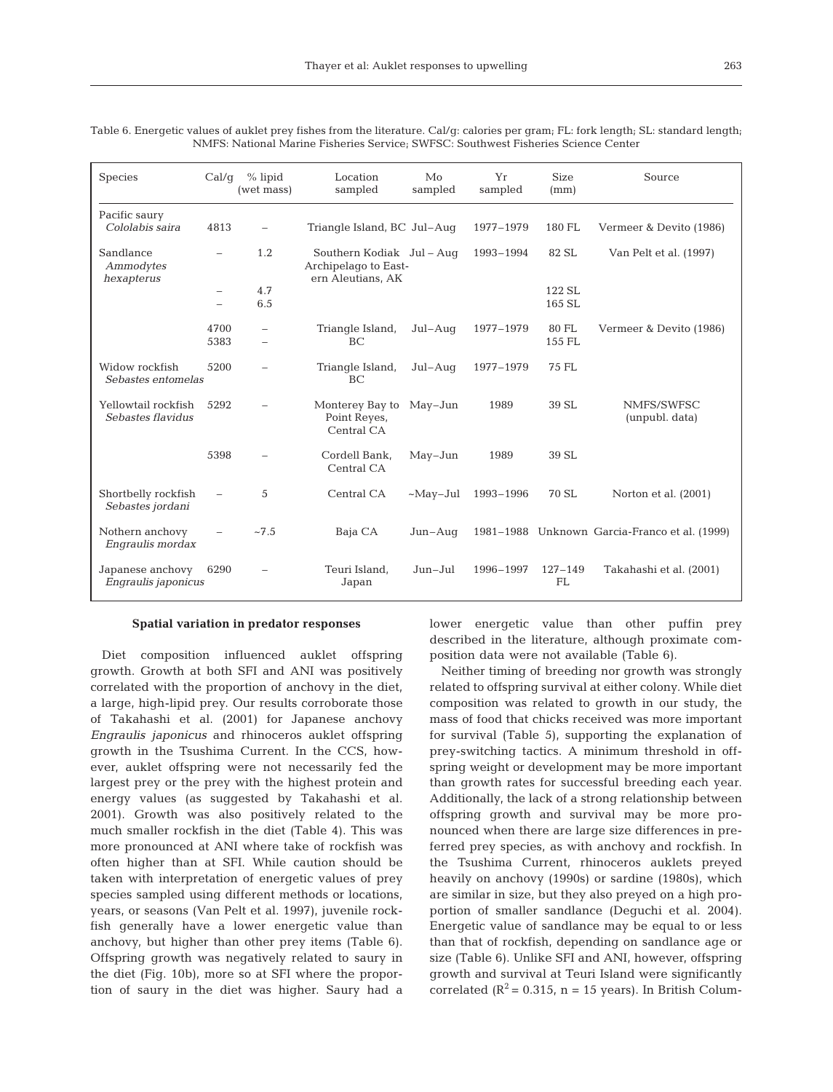| <b>Species</b>                           | Cal/q                                         | $%$ lipid<br>(wet mass)  | Location<br>sampled                                                    | Mo<br>sampled   | Yr<br>sampled | <b>Size</b><br>(mm) | Source                                        |
|------------------------------------------|-----------------------------------------------|--------------------------|------------------------------------------------------------------------|-----------------|---------------|---------------------|-----------------------------------------------|
| Pacific saury<br>Cololabis saira         | 4813                                          |                          | Triangle Island, BC Jul-Aug                                            |                 | 1977-1979     | 180 FL              | Vermeer & Devito (1986)                       |
| Sandlance<br>Ammodytes<br>hexapterus     | $\overline{\phantom{0}}$                      | 1.2                      | Southern Kodiak Jul - Aug<br>Archipelago to East-<br>ern Aleutians, AK |                 | 1993-1994     | 82 SL               | Van Pelt et al. (1997)                        |
|                                          | $\qquad \qquad -$<br>$\overline{\phantom{0}}$ | 4.7<br>6.5               |                                                                        |                 |               | 122 SL<br>165 SL    |                                               |
|                                          | 4700<br>5383                                  | $\overline{\phantom{0}}$ | Triangle Island,<br>BC                                                 | $Jul-Auq$       | 1977-1979     | 80 FL<br>155 FL     | Vermeer & Devito (1986)                       |
| Widow rockfish<br>Sebastes entomelas     | 5200                                          |                          | Triangle Island,<br>BC                                                 | Jul-Aug         | 1977-1979     | 75 FL               |                                               |
| Yellowtail rockfish<br>Sebastes flavidus | 5292                                          |                          | Monterey Bay to<br>Point Reyes,<br>Central CA                          | $May-Jun$       | 1989          | 39 SL               | NMFS/SWFSC<br>(unpubl. data)                  |
|                                          | 5398                                          |                          | Cordell Bank,<br>Central CA                                            | $May-Jun$       | 1989          | 39 SL               |                                               |
| Shortbelly rockfish<br>Sebastes jordani  |                                               | 5                        | Central CA                                                             | $~\sim$ May-Jul | 1993-1996     | 70 SL               | Norton et al. (2001)                          |
| Nothern anchovy<br>Engraulis mordax      |                                               | ~27.5                    | Baja CA                                                                | $Jun-Auq$       |               |                     | 1981–1988 Unknown Garcia-Franco et al. (1999) |
| Japanese anchovy<br>Engraulis japonicus  | 6290                                          |                          | Teuri Island,<br>Japan                                                 | Jun-Jul         | 1996-1997     | $127 - 149$<br>FL   | Takahashi et al. (2001)                       |

Table 6. Energetic values of auklet prey fishes from the literature. Cal/g: calories per gram; FL: fork length; SL: standard length; NMFS: National Marine Fisheries Service; SWFSC: Southwest Fisheries Science Center

#### **Spatial variation in predator responses**

Diet composition influenced auklet offspring growth. Growth at both SFI and ANI was positively correlated with the proportion of anchovy in the diet, a large, high-lipid prey. Our results corroborate those of Takahashi et al. (2001) for Japanese anchovy *Engraulis japonicus* and rhinoceros auklet offspring growth in the Tsushima Current. In the CCS, however, auklet offspring were not necessarily fed the largest prey or the prey with the highest protein and energy values (as suggested by Takahashi et al. 2001). Growth was also positively related to the much smaller rockfish in the diet (Table 4). This was more pronounced at ANI where take of rockfish was often higher than at SFI. While caution should be taken with interpretation of energetic values of prey species sampled using different methods or locations, years, or seasons (Van Pelt et al. 1997), juvenile rockfish generally have a lower energetic value than anchovy, but higher than other prey items (Table 6). Offspring growth was negatively related to saury in the diet (Fig. 10b), more so at SFI where the proportion of saury in the diet was higher. Saury had a

lower energetic value than other puffin prey described in the literature, although proximate composition data were not available (Table 6).

Neither timing of breeding nor growth was strongly related to offspring survival at either colony. While diet composition was related to growth in our study, the mass of food that chicks received was more important for survival (Table 5), supporting the explanation of prey-switching tactics. A minimum threshold in offspring weight or development may be more important than growth rates for successful breeding each year. Additionally, the lack of a strong relationship between offspring growth and survival may be more pronounced when there are large size differences in preferred prey species, as with anchovy and rockfish. In the Tsushima Current, rhinoceros auklets preyed heavily on anchovy (1990s) or sardine (1980s), which are similar in size, but they also preyed on a high proportion of smaller sandlance (Deguchi et al. 2004). Energetic value of sandlance may be equal to or less than that of rockfish, depending on sandlance age or size (Table 6). Unlike SFI and ANI, however, offspring growth and survival at Teuri Island were significantly correlated  $(R^2 = 0.315, n = 15$  years). In British Colum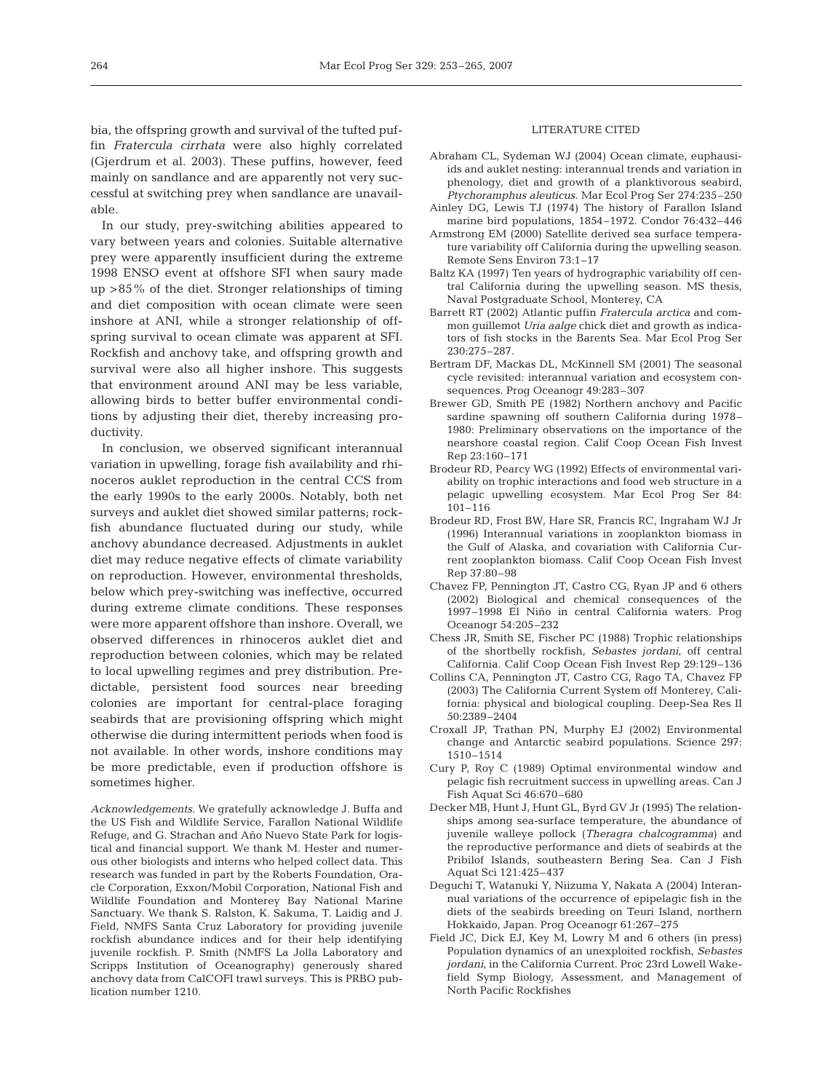bia, the offspring growth and survival of the tufted puffin *Fratercula cirrhata* were also highly correlated (Gjerdrum et al. 2003). These puffins, however, feed mainly on sandlance and are apparently not very successful at switching prey when sandlance are unavailable.

In our study, prey-switching abilities appeared to vary between years and colonies. Suitable alternative prey were apparently insufficient during the extreme 1998 ENSO event at offshore SFI when saury made up >85% of the diet. Stronger relationships of timing and diet composition with ocean climate were seen inshore at ANI, while a stronger relationship of offspring survival to ocean climate was apparent at SFI. Rockfish and anchovy take, and offspring growth and survival were also all higher inshore. This suggests that environment around ANI may be less variable, allowing birds to better buffer environmental conditions by adjusting their diet, thereby increasing productivity.

In conclusion, we observed significant interannual variation in upwelling, forage fish availability and rhinoceros auklet reproduction in the central CCS from the early 1990s to the early 2000s. Notably, both net surveys and auklet diet showed similar patterns; rockfish abundance fluctuated during our study, while anchovy abundance decreased. Adjustments in auklet diet may reduce negative effects of climate variability on reproduction. However, environmental thresholds, below which prey-switching was ineffective, occurred during extreme climate conditions. These responses were more apparent offshore than inshore. Overall, we observed differences in rhinoceros auklet diet and reproduction between colonies, which may be related to local upwelling regimes and prey distribution. Predictable, persistent food sources near breeding colonies are important for central-place foraging seabirds that are provisioning offspring which might otherwise die during intermittent periods when food is not available. In other words, inshore conditions may be more predictable, even if production offshore is sometimes higher.

*Acknowledgements.* We gratefully acknowledge J. Buffa and the US Fish and Wildlife Service, Farallon National Wildlife Refuge, and G. Strachan and Año Nuevo State Park for logistical and financial support. We thank M. Hester and numerous other biologists and interns who helped collect data. This research was funded in part by the Roberts Foundation, Oracle Corporation, Exxon/Mobil Corporation, National Fish and Wildlife Foundation and Monterey Bay National Marine Sanctuary. We thank S. Ralston, K. Sakuma, T. Laidig and J. Field, NMFS Santa Cruz Laboratory for providing juvenile rockfish abundance indices and for their help identifying juvenile rockfish. P. Smith (NMFS La Jolla Laboratory and Scripps Institution of Oceanography) generously shared anchovy data from CalCOFI trawl surveys. This is PRBO publication number 1210.

# LITERATURE CITED

- Abraham CL, Sydeman WJ (2004) Ocean climate, euphausiids and auklet nesting: interannual trends and variation in phenology, diet and growth of a planktivorous seabird, *Ptychoramphus aleuticus*. Mar Ecol Prog Ser 274:235–250
- Ainley DG, Lewis TJ (1974) The history of Farallon Island marine bird populations, 1854–1972. Condor 76:432–446
- Armstrong EM (2000) Satellite derived sea surface temperature variability off California during the upwelling season. Remote Sens Environ 73:1–17
- Baltz KA (1997) Ten years of hydrographic variability off central California during the upwelling season. MS thesis, Naval Postgraduate School, Monterey, CA
- Barrett RT (2002) Atlantic puffin *Fratercula arctica* and common guillemot *Uria aalge* chick diet and growth as indicators of fish stocks in the Barents Sea. Mar Ecol Prog Ser 230:275–287.
- Bertram DF, Mackas DL, McKinnell SM (2001) The seasonal cycle revisited: interannual variation and ecosystem consequences. Prog Oceanogr 49:283–307
- Brewer GD, Smith PE (1982) Northern anchovy and Pacific sardine spawning off southern California during 1978– 1980: Preliminary observations on the importance of the nearshore coastal region. Calif Coop Ocean Fish Invest Rep 23:160–171
- Brodeur RD, Pearcy WG (1992) Effects of environmental variability on trophic interactions and food web structure in a pelagic upwelling ecosystem. Mar Ecol Prog Ser 84: 101–116
- Brodeur RD, Frost BW, Hare SR, Francis RC, Ingraham WJ Jr (1996) Interannual variations in zooplankton biomass in the Gulf of Alaska, and covariation with California Current zooplankton biomass. Calif Coop Ocean Fish Invest Rep 37:80–98
- Chavez FP, Pennington JT, Castro CG, Ryan JP and 6 others (2002) Biological and chemical consequences of the 1997–1998 El Niño in central California waters. Prog Oceanogr 54:205–232
- Chess JR, Smith SE, Fischer PC (1988) Trophic relationships of the shortbelly rockfish, *Sebastes jordani*, off central California. Calif Coop Ocean Fish Invest Rep 29:129–136
- Collins CA, Pennington JT, Castro CG, Rago TA, Chavez FP (2003) The California Current System off Monterey, California: physical and biological coupling. Deep-Sea Res II 50:2389–2404
- Croxall JP, Trathan PN, Murphy EJ (2002) Environmental change and Antarctic seabird populations. Science 297: 1510–1514
- Cury P, Roy C (1989) Optimal environmental window and pelagic fish recruitment success in upwelling areas. Can J Fish Aquat Sci 46:670–680
- Decker MB, Hunt J, Hunt GL, Byrd GV Jr (1995) The relationships among sea-surface temperature, the abundance of juvenile walleye pollock (*Theragra chalcogramma*) and the reproductive performance and diets of seabirds at the Pribilof Islands, southeastern Bering Sea. Can J Fish Aquat Sci 121:425–437
- Deguchi T, Watanuki Y, Niizuma Y, Nakata A (2004) Interannual variations of the occurrence of epipelagic fish in the diets of the seabirds breeding on Teuri Island, northern Hokkaido, Japan. Prog Oceanogr 61:267–275
- Field JC, Dick EJ, Key M, Lowry M and 6 others (in press) Population dynamics of an unexploited rockfish, *Sebastes jordani*, in the California Current. Proc 23rd Lowell Wakefield Symp Biology, Assessment, and Management of North Pacific Rockfishes